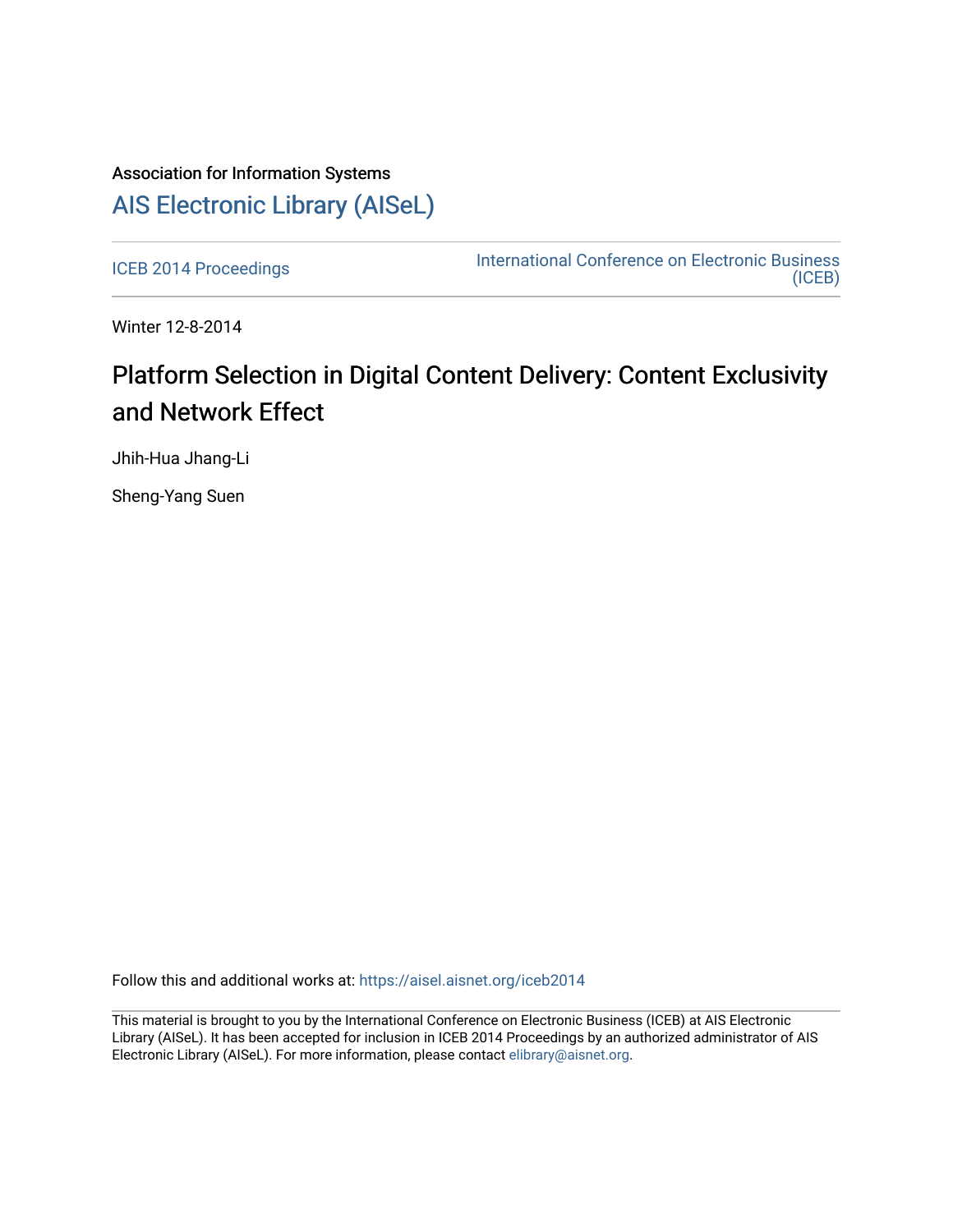## Association for Information Systems [AIS Electronic Library \(AISeL\)](https://aisel.aisnet.org/)

[ICEB 2014 Proceedings](https://aisel.aisnet.org/iceb2014) **International Conference on Electronic Business** [\(ICEB\)](https://aisel.aisnet.org/iceb) 

Winter 12-8-2014

## Platform Selection in Digital Content Delivery: Content Exclusivity and Network Effect

Jhih-Hua Jhang-Li

Sheng-Yang Suen

Follow this and additional works at: [https://aisel.aisnet.org/iceb2014](https://aisel.aisnet.org/iceb2014?utm_source=aisel.aisnet.org%2Ficeb2014%2F26&utm_medium=PDF&utm_campaign=PDFCoverPages)

This material is brought to you by the International Conference on Electronic Business (ICEB) at AIS Electronic Library (AISeL). It has been accepted for inclusion in ICEB 2014 Proceedings by an authorized administrator of AIS Electronic Library (AISeL). For more information, please contact [elibrary@aisnet.org.](mailto:elibrary@aisnet.org%3E)